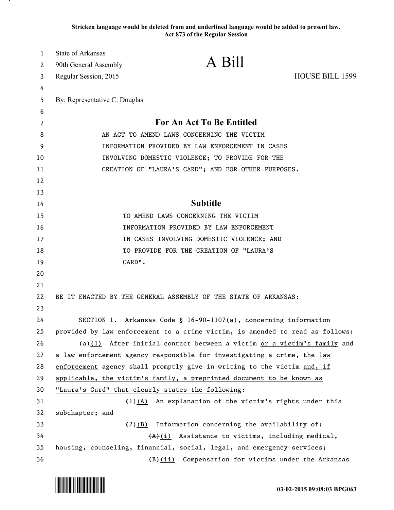**Stricken language would be deleted from and underlined language would be added to present law. Act 873 of the Regular Session**

| 1  | State of Arkansas             |                                                                               |                 |
|----|-------------------------------|-------------------------------------------------------------------------------|-----------------|
| 2  | 90th General Assembly         | A Bill                                                                        |                 |
| 3  | Regular Session, 2015         |                                                                               | HOUSE BILL 1599 |
| 4  |                               |                                                                               |                 |
| 5  | By: Representative C. Douglas |                                                                               |                 |
| 6  |                               |                                                                               |                 |
| 7  |                               | <b>For An Act To Be Entitled</b>                                              |                 |
| 8  |                               | AN ACT TO AMEND LAWS CONCERNING THE VICTIM                                    |                 |
| 9  |                               | INFORMATION PROVIDED BY LAW ENFORCEMENT IN CASES                              |                 |
| 10 |                               | INVOLVING DOMESTIC VIOLENCE; TO PROVIDE FOR THE                               |                 |
| 11 |                               | CREATION OF "LAURA'S CARD"; AND FOR OTHER PURPOSES.                           |                 |
| 12 |                               |                                                                               |                 |
| 13 |                               |                                                                               |                 |
| 14 |                               | <b>Subtitle</b>                                                               |                 |
| 15 |                               | TO AMEND LAWS CONCERNING THE VICTIM                                           |                 |
| 16 |                               | INFORMATION PROVIDED BY LAW ENFORCEMENT                                       |                 |
| 17 |                               | IN CASES INVOLVING DOMESTIC VIOLENCE; AND                                     |                 |
| 18 |                               | TO PROVIDE FOR THE CREATION OF "LAURA'S                                       |                 |
| 19 | CARD".                        |                                                                               |                 |
| 20 |                               |                                                                               |                 |
| 21 |                               |                                                                               |                 |
| 22 |                               | BE IT ENACTED BY THE GENERAL ASSEMBLY OF THE STATE OF ARKANSAS:               |                 |
| 23 |                               |                                                                               |                 |
| 24 |                               | SECTION 1. Arkansas Code § 16-90-1107(a), concerning information              |                 |
| 25 |                               | provided by law enforcement to a crime victim, is amended to read as follows: |                 |
| 26 |                               | (a) $(1)$ After initial contact between a victim or a victim's family and     |                 |
| 27 |                               | a law enforcement agency responsible for investigating a crime, the law       |                 |
| 28 |                               | enforcement agency shall promptly give in writing to the victim and, if       |                 |
| 29 |                               | applicable, the victim's family, a preprinted document to be known as         |                 |
| 30 |                               | "Laura's Card" that clearly states the following:                             |                 |
| 31 |                               | $\frac{(1)(A)}{(A)}$ An explanation of the victim's rights under this         |                 |
| 32 | subchapter; and               |                                                                               |                 |
| 33 |                               | $(2)(B)$ Information concerning the availability of:                          |                 |
| 34 |                               | $(A)$ (i) Assistance to victims, including medical,                           |                 |
| 35 |                               | housing, counseling, financial, social, legal, and emergency services;        |                 |
| 36 |                               | (B)(ii) Compensation for victims under the Arkansas                           |                 |